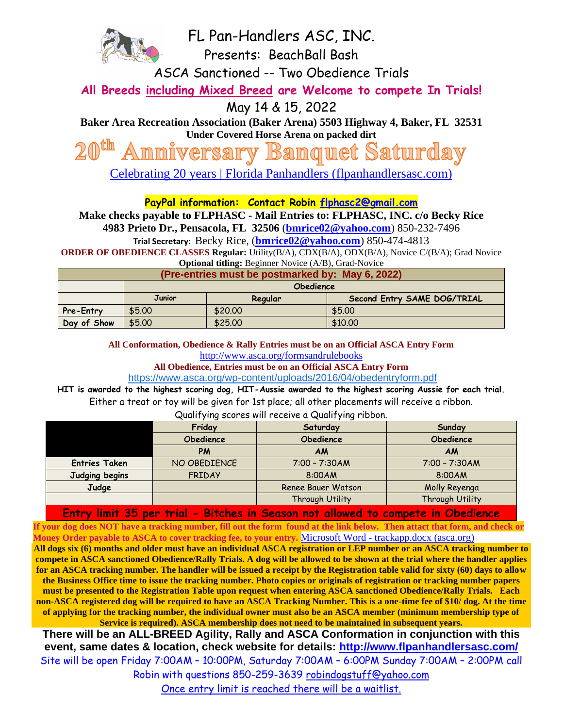

FL Pan-Handlers ASC, INC.

Presents: BeachBall Bash

ASCA Sanctioned -- Two Obedience Trials

**All Breeds including Mixed Breed are Welcome to compete In Trials!**

May 14 & 15, 2022

**Baker Area Recreation Association (Baker Arena) 5503 Highway 4, Baker, FL 32531 Under Covered Horse Arena on packed dirt**

**Banquet Saturday** versarv

[Celebrating 20 years | Florida Panhandlers \(flpanhandlersasc.com\)](https://www.flpanhandlersasc.com/celebrating-20-years)

**PayPal information: Contact Robin [flphasc2@gmail.com](mailto:flphasc2@gmail.com)**

**Make checks payable to FLPHASC - Mail Entries to: FLPHASC, INC. c/o Becky Rice** 

**4983 Prieto Dr., Pensacola, FL 32506** (**[bmrice02@yahoo.com](mailto:bmrice02@yahoo.com)**) 850-232-7496

**Trial Secretary:** Becky Rice, (**[bmrice02@yahoo.com](mailto:bmrice02@yahoo.com)**) 850-474-4813

**ORDER OF OBEDIENCE CLASSES Regular:** Utility(B/A), CDX(B/A), ODX(B/A), Novice C/(B/A); Grad Novice

| <b>Optional titling:</b> Beginner Novice (A/B), Grad-Novice |                  |         |                             |  |  |  |  |
|-------------------------------------------------------------|------------------|---------|-----------------------------|--|--|--|--|
| (Pre-entries must be postmarked by: May 6, 2022)            |                  |         |                             |  |  |  |  |
|                                                             | <b>Obedience</b> |         |                             |  |  |  |  |
|                                                             | <b>Junior</b>    | Regular | Second Entry SAME DOG/TRIAL |  |  |  |  |
| Pre-Entry                                                   | \$5.00           | \$20,00 | \$5.00                      |  |  |  |  |
| Day of Show                                                 | \$5.00           | \$25.00 | \$10,00                     |  |  |  |  |

**All Conformation, Obedience & Rally Entries must be on an Official ASCA Entry Form** http://www.asca.org/formsandrulebooks

**All Obedience, Entries must be on an Official ASCA Entry Form**

<https://www.asca.org/wp-content/uploads/2016/04/obedentryform.pdf>

**HIT is awarded to the highest scoring dog, HIT-Aussie awarded to the highest scoring Aussie for each trial.** Either a treat or toy will be given for 1st place; all other placements will receive a ribbon. Qualifying scores will receive a Qualifying ribbon.

| $\alpha$ and $\beta$ and $\beta$ and $\alpha$ and $\alpha$ are $\alpha$ and $\beta$ and $\beta$ and $\beta$ and $\beta$ |                  |                    |                  |  |  |
|-------------------------------------------------------------------------------------------------------------------------|------------------|--------------------|------------------|--|--|
|                                                                                                                         | Friday           | Saturday           | Sunday           |  |  |
|                                                                                                                         | <b>Obedience</b> | <b>Obedience</b>   | <b>Obedience</b> |  |  |
|                                                                                                                         | PM               | <b>AM</b>          | <b>AM</b>        |  |  |
| <b>Entries Taken</b>                                                                                                    | NO OBEDIENCE     | $7:00 - 7:30AM$    | $7:00 - 7:30AM$  |  |  |
| Judging begins                                                                                                          | <b>FRIDAY</b>    | 8:00AM             | 8:00AM           |  |  |
| Judge                                                                                                                   |                  | Renee Bauer Watson | Molly Reyenga    |  |  |
|                                                                                                                         |                  | Through Utility    | Through Utility  |  |  |

**Entry limit 35 per trial - Bitches in Season not allowed to compete in Obedience**

**If your dog does NOT have a tracking number, fill out the form found at the link below. Then attact that form, and check or Money Order payable to ASCA to cover tracking fee, to your entry.** Microsoft Word - [trackapp.docx \(asca.org\)](https://asca.org/wp-content/uploads/2016/04/trackapp.pdf)

**All dogs six (6) months and older must have an individual ASCA registration or LEP number or an ASCA tracking number to compete in ASCA sanctioned Obedience/Rally Trials. A dog will be allowed to be shown at the trial where the handler applies for an ASCA tracking number. The handler will be issued a receipt by the Registration table valid for sixty (60) days to allow the Business Office time to issue the tracking number. Photo copies or originals of registration or tracking number papers must be presented to the Registration Table upon request when entering ASCA sanctioned Obedience/Rally Trials. Each non-ASCA registered dog will be required to have an ASCA Tracking Number. This is a one-time fee of \$10/ dog. At the time of applying for the tracking number, the individual owner must also be an ASCA member (minimum membership type of Service is required). ASCA membership does not need to be maintained in subsequent years.** 

**There will be an ALL-BREED Agility, Rally and ASCA Conformation in conjunction with this event, same dates & location, check website for details:<http://www.flpanhandlersasc.com/>** Site will be open Friday 7:00AM – 10:00PM, Saturday 7:00AM – 6:00PM Sunday 7:00AM – 2:00PM call Robin with questions 850-259-3639 [robindogstuff@yahoo.com](mailto:robindogstuff@yahoo.com)

Once entry limit is reached there will be a waitlist.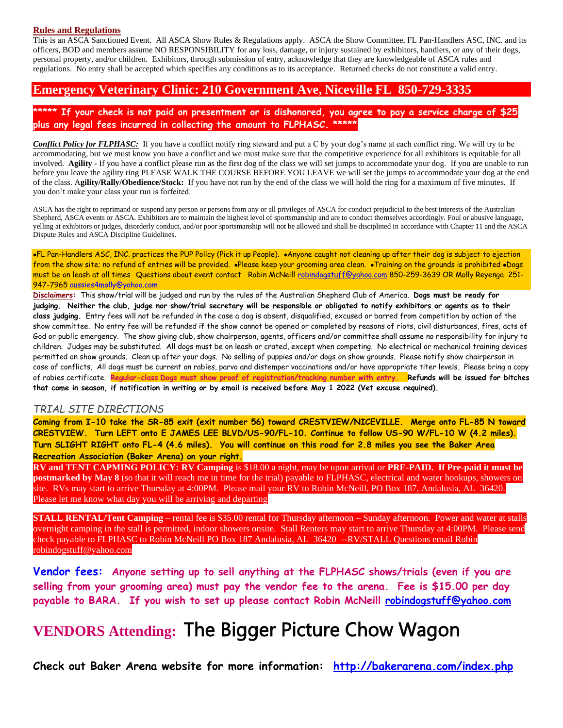#### **Rules and Regulations**

This is an ASCA Sanctioned Event. All ASCA Show Rules & Regulations apply. ASCA the Show Committee, FL Pan-Handlers ASC, INC. and its officers, BOD and members assume NO RESPONSIBILITY for any loss, damage, or injury sustained by exhibitors, handlers, or any of their dogs, personal property, and/or children. Exhibitors, through submission of entry, acknowledge that they are knowledgeable of ASCA rules and regulations. No entry shall be accepted which specifies any conditions as to its acceptance. Returned checks do not constitute a valid entry.

### **Emergency Veterinary Clinic: 210 Government Ave, Niceville FL 850-729-3335**

**\*\*\*\*\* If your check is not paid on presentment or is dishonored, you agree to pay a service charge of \$25 plus any legal fees incurred in collecting the amount to FLPHASC. \*\*\*\*\***

*Conflict Policy for FLPHASC:* If you have a conflict notify ring steward and put a C by your dog's name at each conflict ring. We will try to be accommodating, but we must know you have a conflict and we must make sure that the competitive experience for all exhibitors is equitable for all involved. **Agility -** If you have a conflict please run as the first dog of the class we will set jumps to accommodate your dog. If you are unable to run before you leave the agility ring PLEASE WALK THE COURSE BEFORE YOU LEAVE we will set the jumps to accommodate your dog at the end of the class. A**gility/Rally/Obedience/Stock:** If you have not run by the end of the class we will hold the ring for a maximum of five minutes. If you don't make your class your run is forfeited.

ASCA has the right to reprimand or suspend any person or persons from any or all privileges of ASCA for conduct prejudicial to the best interests of the Australian Shepherd, ASCA events or ASCA. Exhibitors are to maintain the highest level of sportsmanship and are to conduct themselves accordingly. Foul or abusive language, yelling at exhibitors or judges, disorderly conduct, and/or poor sportsmanship will not be allowed and shall be disciplined in accordance with Chapter 11 and the ASCA Dispute Rules and ASCA Discipline Guidelines.

•FL Pan-Handlers ASC, INC. practices the PUP Policy (Pick it up People). •Anyone caught not cleaning up after their dog is subject to ejection from the show site; no refund of entries will be provided. •Please keep your grooming area clean. •Training on the grounds is prohibited •Dogs must be on leash at all times Questions about event contact Robin McNeil[l robindogstuff@yahoo.com](mailto:robindogstuff@cox.net) 850-259-3639 OR Molly Reyenga 251- 947-7965 [aussies4molly@yahoo.com](mailto:aussies4molly@yahoo.com)

**Disclaimers:** This show/trial will be judged and run by the rules of the Australian Shepherd Club of America. **Dogs must be ready for judging. Neither the club, judge nor show/trial secretary will be responsible or obligated to notify exhibitors or agents as to their class judging.** Entry fees will not be refunded in the case a dog is absent, disqualified, excused or barred from competition by action of the show committee. No entry fee will be refunded if the show cannot be opened or completed by reasons of riots, civil disturbances, fires, acts of God or public emergency. The show giving club, show chairperson, agents, officers and/or committee shall assume no responsibility for injury to children. Judges may be substituted. All dogs must be on leash or crated, except when competing. No electrical or mechanical training devices permitted on show grounds. Clean up after your dogs. No selling of puppies and/or dogs on show grounds. Please notify show chairperson in case of conflicts. All dogs must be current on rabies, parvo and distemper vaccinations and/or have appropriate titer levels. Please bring a copy of rabies certificate. **Regular-class Dogs must show proof of registration/tracking number with entry. Refunds will be issued for bitches that come in season, if notification in writing or by email is received before May 1 2022 (Vet excuse required).**

#### *TRIAL SITE DIRECTIONS*

**Coming from I-10 take the SR-85 exit (exit number 56) toward CRESTVIEW/NICEVILLE. Merge onto FL-85 N toward CRESTVIEW. Turn LEFT onto E JAMES LEE BLVD/US-90/FL-10. Continue to follow US-90 W/FL-10 W (4.2 miles). Turn SLIGHT RIGHT onto FL-4 (4.6 miles). You will continue on this road for 2.8 miles you see the Baker Area Recreation Association (Baker Arena) on your right.**

**RV and TENT CAPMING POLICY: RV Camping** is \$18.00 a night, may be upon arrival or **PRE-PAID. If Pre-paid it must be postmarked by May 8** (so that it will reach me in time for the trial) payable to FLPHASC, electrical and water hookups, showers on site. RVs may start to arrive Thursday at 4:00PM. Please mail your RV to Robin McNeill, PO Box 187, Andalusia, AL 36420. Please let me know what day you will be arriving and departing

**STALL RENTAL/Tent Camping** – rental fee is \$35.00 rental for Thursday afternoon – Sunday afternoon. Power and water at stalls overnight camping in the stall is permitted, indoor showers onsite. Stall Renters may start to arrive Thursday at 4:00PM. Please send check payable to FLPHASC to Robin McNeill PO Box 187 Andalusia, AL 36420 --RV/STALL Questions email Robin [robindogstuff@yahoo.com](mailto:robindogstuff@yahoo.com)

**Vendor fees: Anyone setting up to sell anything at the FLPHASC shows/trials (even if you are selling from your grooming area) must pay the vendor fee to the arena. Fee is \$15.00 per day payable to BARA. If you wish to set up please contact Robin McNeill [robindogstuff@yahoo.com](mailto:robindogstuff@yahoo.com)**

# **VENDORS Attending:** The Bigger Picture Chow Wagon

**Check out Baker Arena website for more information: <http://bakerarena.com/index.php>**